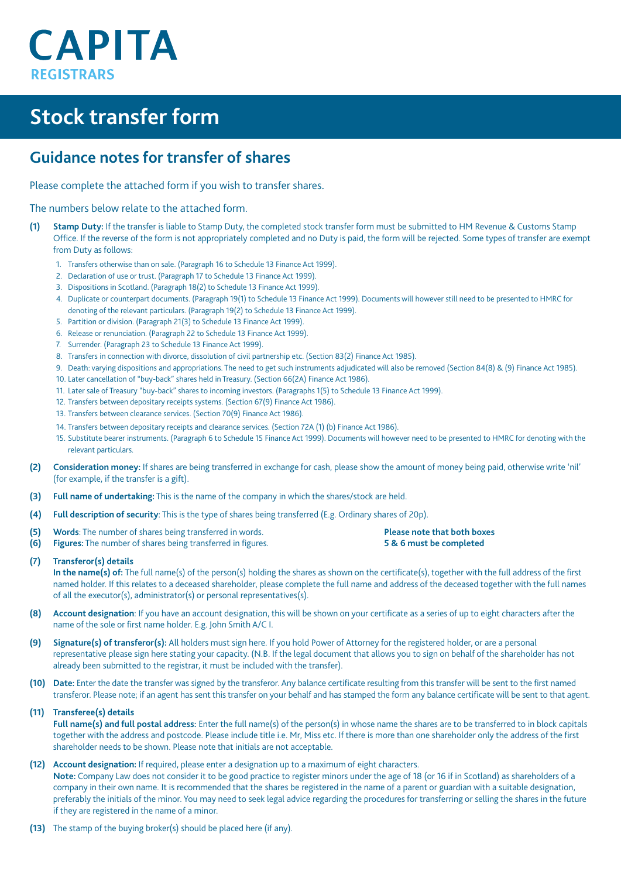# **CAPITA REGISTRARS**

## **Stock transfer form**

## **Guidance notes for transfer of shares**

Please complete the attached form if you wish to transfer shares.

The numbers below relate to the attached form.

- **(1) Stamp Duty:** If the transfer is liable to Stamp Duty, the completed stock transfer form must be submitted to HM Revenue & Customs Stamp Office. If the reverse of the form is not appropriately completed and no Duty is paid, the form will be rejected. Some types of transfer are exempt from Duty as follows:
	- 1. Transfers otherwise than on sale. (Paragraph 16 to Schedule 13 Finance Act 1999).
	- 2. Declaration of use or trust. (Paragraph 17 to Schedule 13 Finance Act 1999).
	- 3. Dispositions in Scotland. (Paragraph 18(2) to Schedule 13 Finance Act 1999).
	- 4. Duplicate or counterpart documents. (Paragraph 19(1) to Schedule 13 Finance Act 1999). Documents will however still need to be presented to HMRC for denoting of the relevant particulars. (Paragraph 19(2) to Schedule 13 Finance Act 1999).
	- 5. Partition or division. (Paragraph 21(3) to Schedule 13 Finance Act 1999).
	- 6. Release or renunciation. (Paragraph 22 to Schedule 13 Finance Act 1999).
	- 7. Surrender. (Paragraph 23 to Schedule 13 Finance Act 1999).
	- 8. Transfers in connection with divorce, dissolution of civil partnership etc. (Section 83(2) Finance Act 1985).
	- 9. Death: varying dispositions and appropriations. The need to get such instruments adjudicated will also be removed (Section 84(8) & (9) Finance Act 1985).
	- 10. Later cancellation of "buy-back" shares held in Treasury. (Section 66(2A) Finance Act 1986).
	- 11. Later sale of Treasury "buy-back" shares to incoming investors. (Paragraphs 1(5) to Schedule 13 Finance Act 1999).
	- 12. Transfers between depositary receipts systems. (Section 67(9) Finance Act 1986).
	- 13. Transfers between clearance services. (Section 70(9) Finance Act 1986).
	- 14. Transfers between depositary receipts and clearance services. (Section 72A (1) (b) Finance Act 1986).
	- 15. Substitute bearer instruments. (Paragraph 6 to Schedule 15 Finance Act 1999). Documents will however need to be presented to HMRC for denoting with the relevant particulars.
- **(2) Consideration money:** If shares are being transferred in exchange for cash, please show the amount of money being paid, otherwise write 'nil' (for example, if the transfer is a gift).
- **(3) Full name of undertaking:** This is the name of the company in which the shares/stock are held.
- **(4) Full description of security**: This is the type of shares being transferred (E.g. Ordinary shares of 20p).
- **(5) Words**: The number of shares being transferred in words. **Please note that both boxes**
- **(6) Figures:** The number of shares being transferred in figures. **5 & 6 must be completed**
- 

**(7) Transferor(s) details**

**In the name(s) of:** The full name(s) of the person(s) holding the shares as shown on the certificate(s), together with the full address of the first named holder. If this relates to a deceased shareholder, please complete the full name and address of the deceased together with the full names of all the executor(s), administrator(s) or personal representatives(s).

- **(8) Account designation**: If you have an account designation, this will be shown on your certificate as a series of up to eight characters after the name of the sole or first name holder. E.g. John Smith A/C I.
- **(9) Signature(s) of transferor(s):** All holders must sign here. If you hold Power of Attorney for the registered holder, or are a personal representative please sign here stating your capacity. (N.B. If the legal document that allows you to sign on behalf of the shareholder has not already been submitted to the registrar, it must be included with the transfer).
- **(10) Date:** Enter the date the transfer was signed by the transferor. Any balance certificate resulting from this transfer will be sent to the first named transferor. Please note; if an agent has sent this transfer on your behalf and has stamped the form any balance certificate will be sent to that agent.

**(11) Transferee(s) details**

**Full name(s) and full postal address:** Enter the full name(s) of the person(s) in whose name the shares are to be transferred to in block capitals together with the address and postcode. Please include title i.e. Mr, Miss etc. If there is more than one shareholder only the address of the first shareholder needs to be shown. Please note that initials are not acceptable.

**(12) Account designation:** If required, please enter a designation up to a maximum of eight characters.

**Note:** Company Law does not consider it to be good practice to register minors under the age of 18 (or 16 if in Scotland) as shareholders of a company in their own name. It is recommended that the shares be registered in the name of a parent or guardian with a suitable designation, preferably the initials of the minor. You may need to seek legal advice regarding the procedures for transferring or selling the shares in the future if they are registered in the name of a minor.

**(13)** The stamp of the buying broker(s) should be placed here (if any).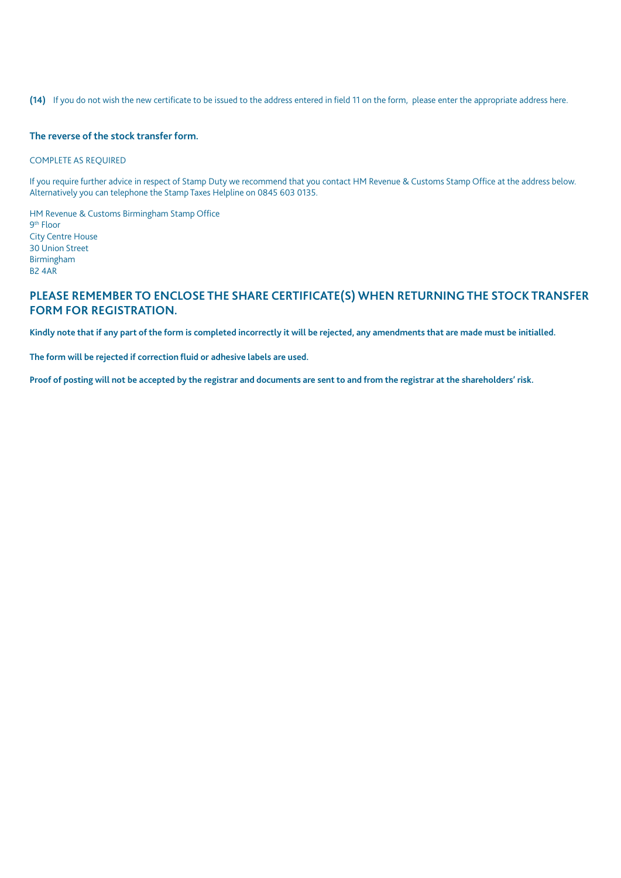**(14)** If you do not wish the new certificate to be issued to the address entered in field 11 on the form, please enter the appropriate address here.

#### **The reverse of the stock transfer form.**

#### COMPLETE AS REQUIRED

If you require further advice in respect of Stamp Duty we recommend that you contact HM Revenue & Customs Stamp Office at the address below. Alternatively you can telephone the Stamp Taxes Helpline on 0845 603 0135.

HM Revenue & Customs Birmingham Stamp Office 9th Floor City Centre House 30 Union Street Birmingham B2 4AR

#### **PLEASE REMEMBER TO ENCLOSE THE SHARE CERTIFICATE(S) WHEN RETURNING THE STOCK TRANSFER FORM FOR REGISTRATION.**

**Kindly note that if any part of the form is completed incorrectly it will be rejected, any amendments that are made must be initialled.**

**The form will be rejected if correction fluid or adhesive labels are used.**

**Proof of posting will not be accepted by the registrar and documents are sent to and from the registrar at the shareholders' risk.**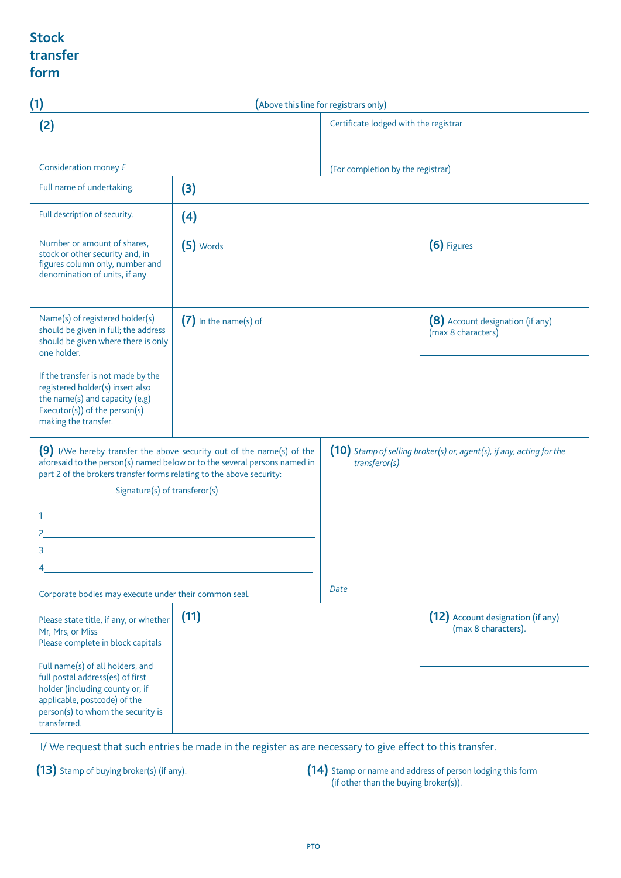### **Stock transfer form**

| (1)                                                                                                                                                                                                                                                                                                                          |                                                                                                                                                                                                                                                | (Above this line for registrars only) |                                                                                                     |
|------------------------------------------------------------------------------------------------------------------------------------------------------------------------------------------------------------------------------------------------------------------------------------------------------------------------------|------------------------------------------------------------------------------------------------------------------------------------------------------------------------------------------------------------------------------------------------|---------------------------------------|-----------------------------------------------------------------------------------------------------|
| (2)                                                                                                                                                                                                                                                                                                                          |                                                                                                                                                                                                                                                | Certificate lodged with the registrar |                                                                                                     |
| Consideration money £                                                                                                                                                                                                                                                                                                        |                                                                                                                                                                                                                                                | (For completion by the registrar)     |                                                                                                     |
| Full name of undertaking.                                                                                                                                                                                                                                                                                                    | (3)                                                                                                                                                                                                                                            |                                       |                                                                                                     |
| Full description of security.                                                                                                                                                                                                                                                                                                | (4)                                                                                                                                                                                                                                            |                                       |                                                                                                     |
| Number or amount of shares,<br>stock or other security and, in<br>figures column only, number and<br>denomination of units, if any.                                                                                                                                                                                          | $(5)$ Words                                                                                                                                                                                                                                    |                                       | (6) Figures                                                                                         |
| Name(s) of registered holder(s)<br>should be given in full; the address<br>should be given where there is only<br>one holder.                                                                                                                                                                                                | $(7)$ In the name(s) of                                                                                                                                                                                                                        |                                       | (8) Account designation (if any)<br>(max 8 characters)                                              |
| If the transfer is not made by the<br>registered holder(s) insert also<br>the name(s) and capacity (e.g)<br>Executor(s)) of the person(s)<br>making the transfer.                                                                                                                                                            |                                                                                                                                                                                                                                                |                                       |                                                                                                     |
| (9) I/We hereby transfer the above security out of the name(s) of the<br>aforesaid to the person(s) named below or to the several persons named in<br>part 2 of the brokers transfer forms relating to the above security:<br>Signature(s) of transferor(s)<br><u> 1989 - Johann Barn, fransk politik fotograf (d. 1989)</u> | <u> 1980 - Johann Barn, mars ann an t-Amhain Aonaich an t-Aonaich an t-Aonaich an t-Aonaich an t-Aonaich an t-Aon</u><br><u> 1989 - Johann Barn, mars eta bainar eta industrial eta baina eta baina eta baina eta baina eta baina eta bain</u> | transferor(s).                        | (10) Stamp of selling broker(s) or, agent(s), if any, acting for the                                |
|                                                                                                                                                                                                                                                                                                                              |                                                                                                                                                                                                                                                |                                       |                                                                                                     |
| Corporate bodies may execute under their common seal.                                                                                                                                                                                                                                                                        |                                                                                                                                                                                                                                                | Date                                  |                                                                                                     |
| Please state title, if any, or whether<br>Mr, Mrs, or Miss<br>Please complete in block capitals<br>Full name(s) of all holders, and<br>full postal address(es) of first<br>holder (including county or, if<br>applicable, postcode) of the<br>person(s) to whom the security is                                              | (11)                                                                                                                                                                                                                                           |                                       | (12) Account designation (if any)<br>(max 8 characters).                                            |
| transferred.                                                                                                                                                                                                                                                                                                                 |                                                                                                                                                                                                                                                |                                       |                                                                                                     |
| I/We request that such entries be made in the register as are necessary to give effect to this transfer.                                                                                                                                                                                                                     |                                                                                                                                                                                                                                                |                                       |                                                                                                     |
| (13) Stamp of buying broker(s) (if any).                                                                                                                                                                                                                                                                                     |                                                                                                                                                                                                                                                |                                       | (14) Stamp or name and address of person lodging this form<br>(if other than the buying broker(s)). |
|                                                                                                                                                                                                                                                                                                                              |                                                                                                                                                                                                                                                | <b>PTO</b>                            |                                                                                                     |